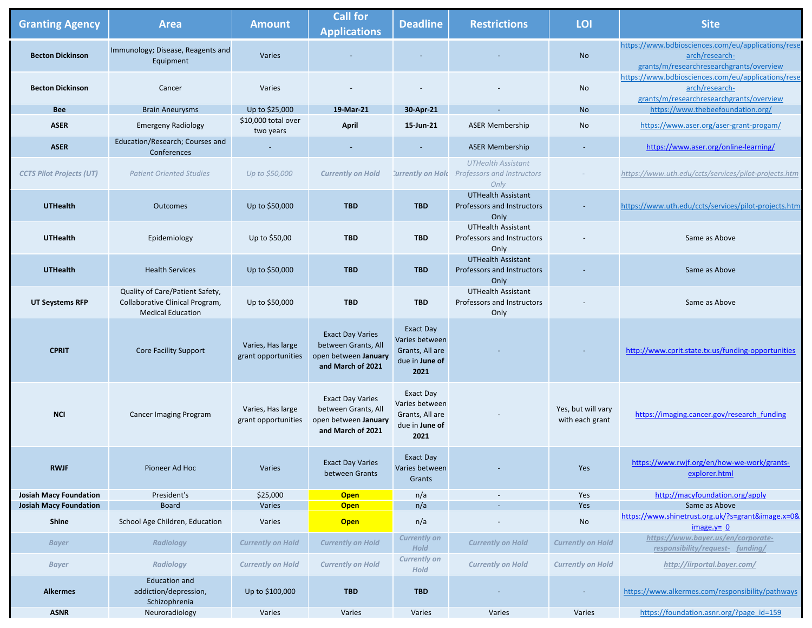| <b>Granting Agency</b>          | <b>Area</b>                                                                                    | <b>Amount</b>                            | <b>Call for</b><br><b>Applications</b>                                                      | <b>Deadline</b>                                                                 | <b>Restrictions</b>                                                               | LOI                                   | <b>Site</b>                                                                                                      |
|---------------------------------|------------------------------------------------------------------------------------------------|------------------------------------------|---------------------------------------------------------------------------------------------|---------------------------------------------------------------------------------|-----------------------------------------------------------------------------------|---------------------------------------|------------------------------------------------------------------------------------------------------------------|
| <b>Becton Dickinson</b>         | Immunology; Disease, Reagents and<br>Equipment                                                 | Varies                                   |                                                                                             |                                                                                 |                                                                                   | <b>No</b>                             | https://www.bdbiosciences.com/eu/applications/rese<br>arch/research-<br>grants/m/researchresearchgrants/overview |
| <b>Becton Dickinson</b>         | Cancer                                                                                         | Varies                                   |                                                                                             |                                                                                 |                                                                                   | No                                    | https://www.bdbiosciences.com/eu/applications/rese<br>arch/research-<br>grants/m/researchresearchgrants/overview |
| <b>Bee</b>                      | <b>Brain Aneurysms</b>                                                                         | Up to \$25,000                           | 19-Mar-21                                                                                   | 30-Apr-21                                                                       | $\sim$                                                                            | <b>No</b>                             | https://www.thebeefoundation.org/                                                                                |
| <b>ASER</b>                     | <b>Emergeny Radiology</b>                                                                      | \$10,000 total over<br>two years         | <b>April</b>                                                                                | 15-Jun-21                                                                       | <b>ASER Membership</b>                                                            | No                                    | https://www.aser.org/aser-grant-progam/                                                                          |
| <b>ASER</b>                     | Education/Research; Courses and<br>Conferences                                                 |                                          |                                                                                             |                                                                                 | <b>ASER Membership</b>                                                            |                                       | https://www.aser.org/online-learning/                                                                            |
| <b>CCTS Pilot Projects (UT)</b> | <b>Patient Oriented Studies</b>                                                                | Up to \$50,000                           | <b>Currently on Hold</b>                                                                    |                                                                                 | <b>UTHealth Assistant</b><br>Currently on Hold Professors and Instructors<br>Only |                                       | https://www.uth.edu/ccts/services/pilot-projects.htm                                                             |
| <b>UTHealth</b>                 | <b>Outcomes</b>                                                                                | Up to \$50,000                           | <b>TBD</b>                                                                                  | <b>TBD</b>                                                                      | <b>UTHealth Assistant</b><br>Professors and Instructors<br>Only                   |                                       | https://www.uth.edu/ccts/services/pilot-projects.htm                                                             |
| <b>UTHealth</b>                 | Epidemiology                                                                                   | Up to \$50,00                            | <b>TBD</b>                                                                                  | <b>TBD</b>                                                                      | <b>UTHealth Assistant</b><br>Professors and Instructors<br>Only                   |                                       | Same as Above                                                                                                    |
| <b>UTHealth</b>                 | <b>Health Services</b>                                                                         | Up to \$50,000                           | <b>TBD</b>                                                                                  | <b>TBD</b>                                                                      | <b>UTHealth Assistant</b><br>Professors and Instructors<br>Only                   |                                       | Same as Above                                                                                                    |
| <b>UT Seystems RFP</b>          | Quality of Care/Patient Safety,<br>Collaborative Clinical Program,<br><b>Medical Education</b> | Up to \$50,000                           | <b>TBD</b>                                                                                  | <b>TBD</b>                                                                      | <b>UTHealth Assistant</b><br>Professors and Instructors<br>Only                   |                                       | Same as Above                                                                                                    |
| <b>CPRIT</b>                    | <b>Core Facility Support</b>                                                                   | Varies, Has large<br>grant opportunities | <b>Exact Day Varies</b><br>between Grants, All<br>open between January<br>and March of 2021 | <b>Exact Day</b><br>Varies between<br>Grants, All are<br>due in June of<br>2021 |                                                                                   |                                       | http://www.cprit.state.tx.us/funding-opportunities                                                               |
| <b>NCI</b>                      | <b>Cancer Imaging Program</b>                                                                  | Varies, Has large<br>grant opportunities | <b>Exact Day Varies</b><br>between Grants, All<br>open between January<br>and March of 2021 | <b>Exact Day</b><br>Varies between<br>Grants, All are<br>due in June of<br>2021 |                                                                                   | Yes, but will vary<br>with each grant | https://imaging.cancer.gov/research_funding                                                                      |
| <b>RWJF</b>                     | Pioneer Ad Hoc                                                                                 | Varies                                   | <b>Exact Day Varies</b><br>between Grants                                                   | Exact Day<br>Varies between<br>Grants                                           |                                                                                   | Yes                                   | https://www.rwjf.org/en/how-we-work/grants-<br>explorer.html                                                     |
| <b>Josiah Macy Foundation</b>   | President's                                                                                    | \$25,000                                 | <b>Open</b>                                                                                 | n/a                                                                             | $\overline{\phantom{a}}$                                                          | Yes                                   | http://macyfoundation.org/apply                                                                                  |
| <b>Josiah Macy Foundation</b>   | <b>Board</b>                                                                                   | Varies                                   | <b>Open</b>                                                                                 | n/a                                                                             |                                                                                   | Yes                                   | Same as Above                                                                                                    |
| <b>Shine</b>                    | School Age Children, Education                                                                 | Varies                                   | <b>Open</b>                                                                                 | n/a                                                                             |                                                                                   | No                                    | https://www.shinetrust.org.uk/?s=grant&image.x=0&<br>$image.y = 0$                                               |
| <b>Bayer</b>                    | <b>Radiology</b>                                                                               | <b>Currently on Hold</b>                 | <b>Currently on Hold</b>                                                                    | <b>Currently on</b><br><b>Hold</b>                                              | <b>Currently on Hold</b>                                                          | <b>Currently on Hold</b>              | https://www.bayer.us/en/corporate-<br>responsibility/request- funding/                                           |
| <b>Bayer</b>                    | <b>Radiology</b>                                                                               | <b>Currently on Hold</b>                 | <b>Currently on Hold</b>                                                                    | <b>Currently on</b><br><b>Hold</b>                                              | <b>Currently on Hold</b>                                                          | <b>Currently on Hold</b>              | http://iirportal.bayer.com/                                                                                      |
| <b>Alkermes</b>                 | <b>Education and</b><br>addiction/depression,<br>Schizophrenia                                 | Up to \$100,000                          | <b>TBD</b>                                                                                  | <b>TBD</b>                                                                      |                                                                                   | $\overline{\phantom{a}}$              | https://www.alkermes.com/responsibility/pathways                                                                 |
| <b>ASNR</b>                     | Neuroradiology                                                                                 | Varies                                   | Varies                                                                                      | Varies                                                                          | Varies                                                                            | Varies                                | https://foundation.asnr.org/?page id=159                                                                         |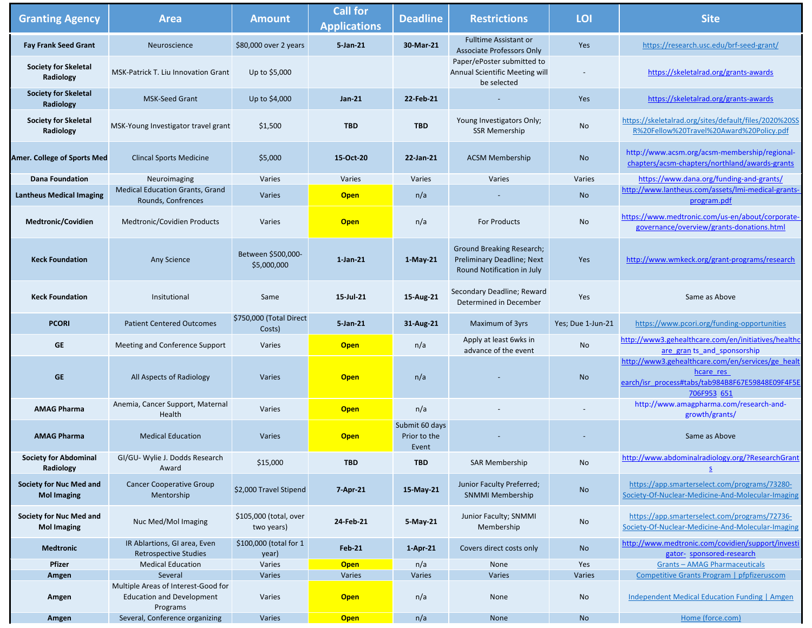| <b>Granting Agency</b>                               | <b>Area</b>                                                                         | <b>Amount</b>                        | <b>Call for</b><br><b>Applications</b> | <b>Deadline</b>                         | <b>Restrictions</b>                                                                                 | LOI               | <b>Site</b>                                                                                                                       |
|------------------------------------------------------|-------------------------------------------------------------------------------------|--------------------------------------|----------------------------------------|-----------------------------------------|-----------------------------------------------------------------------------------------------------|-------------------|-----------------------------------------------------------------------------------------------------------------------------------|
| <b>Fay Frank Seed Grant</b>                          | Neuroscience                                                                        | \$80,000 over 2 years                | 5-Jan-21                               | 30-Mar-21                               | <b>Fulltime Assistant or</b><br><b>Associate Professors Only</b>                                    | Yes               | https://research.usc.edu/brf-seed-grant/                                                                                          |
| <b>Society for Skeletal</b><br>Radiology             | MSK-Patrick T. Liu Innovation Grant                                                 | Up to \$5,000                        |                                        |                                         | Paper/ePoster submitted to<br>Annual Scientific Meeting will<br>be selected                         |                   | https://skeletalrad.org/grants-awards                                                                                             |
| <b>Society for Skeletal</b><br>Radiology             | <b>MSK-Seed Grant</b>                                                               | Up to \$4,000                        | <b>Jan-21</b>                          | 22-Feb-21                               |                                                                                                     | Yes               | https://skeletalrad.org/grants-awards                                                                                             |
| <b>Society for Skeletal</b><br>Radiology             | MSK-Young Investigator travel grant                                                 | \$1,500                              | <b>TBD</b>                             | <b>TBD</b>                              | Young Investigators Only;<br><b>SSR Memership</b>                                                   | No                | https://skeletalrad.org/sites/default/files/2020%20SS<br>R%20Fellow%20Travel%20Award%20Policy.pdf                                 |
| <b>Amer. College of Sports Med</b>                   | <b>Clincal Sports Medicine</b>                                                      | \$5,000                              | 15-Oct-20                              | 22-Jan-21                               | <b>ACSM Membership</b>                                                                              | <b>No</b>         | http://www.acsm.org/acsm-membership/regional-<br>chapters/acsm-chapters/northland/awards-grants                                   |
| <b>Dana Foundation</b>                               | Neuroimaging                                                                        | Varies                               | Varies                                 | Varies                                  | Varies                                                                                              | Varies            | https://www.dana.org/funding-and-grants/                                                                                          |
| <b>Lantheus Medical Imaging</b>                      | <b>Medical Education Grants, Grand</b><br>Rounds, Confrences                        | Varies                               | <b>Open</b>                            | n/a                                     |                                                                                                     | <b>No</b>         | http://www.lantheus.com/assets/lmi-medical-grants-<br>program.pdf                                                                 |
| <b>Medtronic/Covidien</b>                            | Medtronic/Covidien Products                                                         | Varies                               | <b>Open</b>                            | n/a                                     | <b>For Products</b>                                                                                 | No                | https://www.medtronic.com/us-en/about/corporate-<br>governance/overview/grants-donations.html                                     |
| <b>Keck Foundation</b>                               | Any Science                                                                         | Between \$500,000-<br>\$5,000,000    | $1$ -Jan-21                            | 1-May-21                                | <b>Ground Breaking Research;</b><br><b>Preliminary Deadline; Next</b><br>Round Notification in July | Yes               | http://www.wmkeck.org/grant-programs/research                                                                                     |
| <b>Keck Foundation</b>                               | Insitutional                                                                        | Same                                 | 15-Jul-21                              | 15-Aug-21                               | Secondary Deadline; Reward<br>Determined in December                                                | Yes               | Same as Above                                                                                                                     |
| <b>PCORI</b>                                         | <b>Patient Centered Outcomes</b>                                                    | \$750,000 (Total Direct<br>Costs)    | 5-Jan-21                               | 31-Aug-21                               | Maximum of 3yrs                                                                                     | Yes; Due 1-Jun-21 | https://www.pcori.org/funding-opportunities                                                                                       |
| <b>GE</b>                                            | Meeting and Conference Support                                                      | Varies                               | <b>Open</b>                            | n/a                                     | Apply at least 6wks in<br>advance of the event                                                      | No                | http://www3.gehealthcare.com/en/initiatives/healthc<br>are gran ts_and_sponsorship                                                |
| <b>GE</b>                                            | All Aspects of Radiology                                                            | Varies                               | <b>Open</b>                            | n/a                                     |                                                                                                     | <b>No</b>         | http://www3.gehealthcare.com/en/services/ge healt<br>hcare res<br>earch/isr process#tabs/tab984B8F67E59848E09F4F5E<br>706F953 651 |
| <b>AMAG Pharma</b>                                   | Anemia, Cancer Support, Maternal<br>Health                                          | Varies                               | <b>Open</b>                            | n/a                                     |                                                                                                     |                   | http://www.amagpharma.com/research-and-<br>growth/grants/                                                                         |
| <b>AMAG Pharma</b>                                   | <b>Medical Education</b>                                                            | Varies                               | <b>Open</b>                            | Submit 60 days<br>Prior to the<br>Event |                                                                                                     |                   | Same as Above                                                                                                                     |
| <b>Society for Abdominal</b><br>Radiology            | GI/GU-Wylie J. Dodds Research<br>Award                                              | \$15,000                             | <b>TBD</b>                             | <b>TBD</b>                              | <b>SAR Membership</b>                                                                               | No                | http://www.abdominalradiology.org/?ResearchGrant                                                                                  |
| <b>Society for Nuc Med and</b><br><b>Mol Imaging</b> | <b>Cancer Cooperative Group</b><br>Mentorship                                       | \$2,000 Travel Stipend               | 7-Apr-21                               | 15-May-21                               | Junior Faculty Preferred;<br><b>SNMMI Membership</b>                                                | <b>No</b>         | https://app.smarterselect.com/programs/73280-<br>Society-Of-Nuclear-Medicine-And-Molecular-Imaging                                |
| <b>Society for Nuc Med and</b><br><b>Mol Imaging</b> | Nuc Med/Mol Imaging                                                                 | \$105,000 (total, over<br>two years) | 24-Feb-21                              | 5-May-21                                | Junior Faculty; SNMMI<br>Membership                                                                 | No                | https://app.smarterselect.com/programs/72736-<br>Society-Of-Nuclear-Medicine-And-Molecular-Imaging                                |
| <b>Medtronic</b>                                     | IR Ablartions, GI area, Even<br><b>Retrospective Studies</b>                        | \$100,000 (total for 1<br>year)      | <b>Feb-21</b>                          | $1-Apr-21$                              | Covers direct costs only                                                                            | <b>No</b>         | http://www.medtronic.com/covidien/support/investi<br>gator- sponsored-research                                                    |
| <b>Pfizer</b>                                        | <b>Medical Education</b>                                                            | Varies                               | <b>Open</b>                            | n/a                                     | None                                                                                                | Yes               | <b>Grants-AMAG Pharmaceuticals</b>                                                                                                |
| Amgen                                                | Several                                                                             | Varies                               | Varies                                 | Varies                                  | Varies                                                                                              | Varies            | Competitive Grants Program   pfpfizeruscom                                                                                        |
| Amgen                                                | Multiple Areas of Interest-Good for<br><b>Education and Development</b><br>Programs | Varies                               | <b>Open</b>                            | n/a                                     | None                                                                                                | No                | <b>Independent Medical Education Funding   Amgen</b>                                                                              |
| Amgen                                                | Several, Conference organizing                                                      | Varies                               | <b>Open</b>                            | n/a                                     | None                                                                                                | <b>No</b>         | Home (force.com)                                                                                                                  |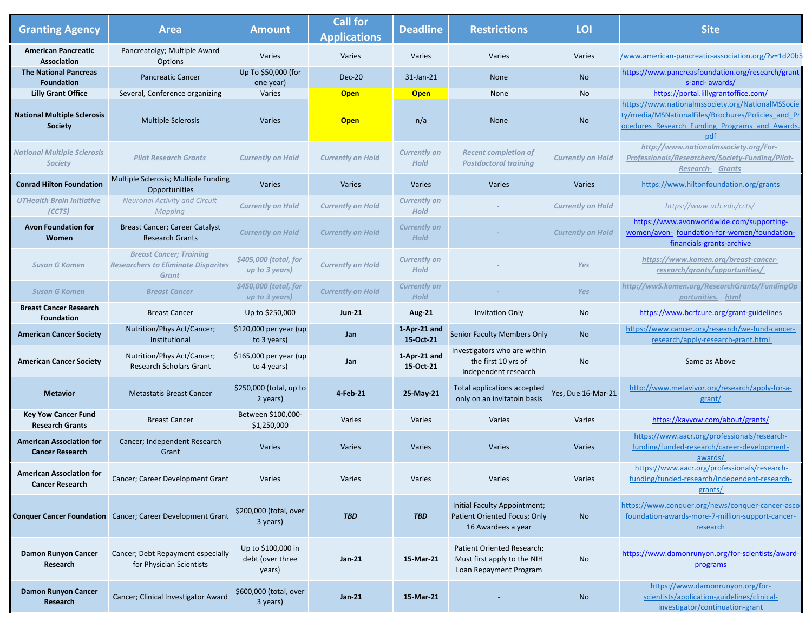| <b>Granting Agency</b>                                    | <b>Area</b>                                                                                  | <b>Amount</b>                                    | <b>Call for</b><br><b>Applications</b> | <b>Deadline</b>                    | <b>Restrictions</b>                                                                 | LOI                      | <b>Site</b>                                                                                                                                                     |
|-----------------------------------------------------------|----------------------------------------------------------------------------------------------|--------------------------------------------------|----------------------------------------|------------------------------------|-------------------------------------------------------------------------------------|--------------------------|-----------------------------------------------------------------------------------------------------------------------------------------------------------------|
| <b>American Pancreatic</b><br><b>Association</b>          | Pancreatolgy; Multiple Award<br>Options                                                      | Varies                                           | Varies                                 | Varies                             | Varies                                                                              | Varies                   | /www.american-pancreatic-association.org/?v=1d20b5                                                                                                              |
| <b>The National Pancreas</b><br><b>Foundation</b>         | <b>Pancreatic Cancer</b>                                                                     | Up To \$50,000 (for<br>one year)                 | <b>Dec-20</b>                          | 31-Jan-21                          | None                                                                                | <b>No</b>                | https://www.pancreasfoundation.org/research/grant<br>s-and- awards/                                                                                             |
| <b>Lilly Grant Office</b>                                 | Several, Conference organizing                                                               | Varies                                           | <b>Open</b>                            | <b>Open</b>                        | None                                                                                | No                       | https://portal.lillygrantoffice.com/                                                                                                                            |
| <b>National Multiple Sclerosis</b><br><b>Society</b>      | <b>Multiple Sclerosis</b>                                                                    | Varies                                           | <b>Open</b>                            | n/a                                | None                                                                                | <b>No</b>                | https://www.nationalmssociety.org/NationalMSSocie<br>ty/media/MSNationalFiles/Brochures/Policies and Pr<br>ocedures Research Funding Programs and Awards<br>pdf |
| <b>National Multiple Sclerosis</b><br><b>Society</b>      | <b>Pilot Research Grants</b>                                                                 | <b>Currently on Hold</b>                         | <b>Currently on Hold</b>               | <b>Currently on</b><br><b>Hold</b> | <b>Recent completion of</b><br><b>Postdoctoral training</b>                         | <b>Currently on Hold</b> | http://www.nationalmssociety.org/For-<br>Professionals/Researchers/Society-Funding/Pilot-<br><b>Research- Grants</b>                                            |
| <b>Conrad Hilton Foundation</b>                           | Multiple Sclerosis; Multiple Funding<br>Opportunities                                        | Varies                                           | Varies                                 | Varies                             | Varies                                                                              | Varies                   | https://www.hiltonfoundation.org/grants                                                                                                                         |
| <b>UTHealth Brain Initiative</b><br>(CCTS)                | <b>Neuronal Activity and Circuit</b><br>Mapping                                              | <b>Currently on Hold</b>                         | <b>Currently on Hold</b>               | <b>Currently on</b><br><b>Hold</b> |                                                                                     | <b>Currently on Hold</b> | https://www.uth.edu/ccts/                                                                                                                                       |
| <b>Avon Foundation for</b><br>Women                       | <b>Breast Cancer; Career Catalyst</b><br><b>Research Grants</b>                              | <b>Currently on Hold</b>                         | <b>Currently on Hold</b>               | <b>Currently on</b><br><b>Hold</b> |                                                                                     | <b>Currently on Hold</b> | https://www.avonworldwide.com/supporting-<br>women/avon- foundation-for-women/foundation-<br>financials-grants-archive                                          |
| <b>Susan G Komen</b>                                      | <b>Breast Cancer; Training</b><br><b>Researchers to Eliminate Disparites</b><br><b>Grant</b> | \$405,000 (total, for<br>up to 3 years)          | <b>Currently on Hold</b>               | <b>Currently on</b><br>Hold        |                                                                                     | Yes                      | https://www.komen.org/breast-cancer-<br>research/grants/opportunities/                                                                                          |
| <b>Susan G Komen</b>                                      | <b>Breast Cancer</b>                                                                         | \$450,000 (total, for<br>up to 3 years)          | <b>Currently on Hold</b>               | <b>Currently on</b><br><b>Hold</b> |                                                                                     | Yes                      | http://ww5.komen.org/ResearchGrants/FundingOp<br>portunities. html                                                                                              |
| <b>Breast Cancer Research</b><br><b>Foundation</b>        | <b>Breast Cancer</b>                                                                         | Up to \$250,000                                  | <b>Jun-21</b>                          | <b>Aug-21</b>                      | <b>Invitation Only</b>                                                              | No                       | https://www.bcrfcure.org/grant-guidelines                                                                                                                       |
| <b>American Cancer Society</b>                            | Nutrition/Phys Act/Cancer;<br>Institutional                                                  | \$120,000 per year (up<br>to 3 years)            | Jan                                    | 1-Apr-21 and<br>15-Oct-21          | <b>Senior Faculty Members Only</b>                                                  | <b>No</b>                | https://www.cancer.org/research/we-fund-cancer-<br>research/apply-research-grant.html                                                                           |
| <b>American Cancer Society</b>                            | Nutrition/Phys Act/Cancer;<br><b>Research Scholars Grant</b>                                 | \$165,000 per year (up<br>to 4 years)            | Jan                                    | 1-Apr-21 and<br>15-Oct-21          | Investigators who are within<br>the first 10 yrs of<br>independent research         | No                       | Same as Above                                                                                                                                                   |
| <b>Metavior</b>                                           | <b>Metastatis Breast Cancer</b>                                                              | \$250,000 (total, up to<br>2 years)              | 4-Feb-21                               | 25-May-21                          | Total applications accepted<br>only on an invitatoin basis                          | Yes, Due 16-Mar-21       | http://www.metavivor.org/research/apply-for-a-<br>grant/                                                                                                        |
| <b>Key Yow Cancer Fund</b><br><b>Research Grants</b>      | <b>Breast Cancer</b>                                                                         | Between \$100,000-<br>\$1,250,000                | Varies                                 | Varies                             | Varies                                                                              | Varies                   | https://kayyow.com/about/grants/                                                                                                                                |
| <b>American Association for</b><br><b>Cancer Research</b> | Cancer; Independent Research<br>Grant                                                        | Varies                                           | Varies                                 | Varies                             | Varies                                                                              | Varies                   | https://www.aacr.org/professionals/research-<br>funding/funded-research/career-development-<br>awards/                                                          |
| <b>American Association for</b><br><b>Cancer Research</b> | Cancer; Career Development Grant                                                             | Varies                                           | Varies                                 | Varies                             | Varies                                                                              | Varies                   | https://www.aacr.org/professionals/research-<br>funding/funded-research/independent-research-<br>grants/                                                        |
|                                                           | <b>Conquer Cancer Foundation</b> Cancer; Career Development Grant                            | \$200,000 (total, over<br>3 years)               | <b>TBD</b>                             | <b>TBD</b>                         | Initial Faculty Appointment;<br>Patient Oriented Focus; Only<br>16 Awardees a year  | <b>No</b>                | https://www.conquer.org/news/conquer-cancer-asco-<br>foundation-awards-more-7-million-support-cancer-<br>research                                               |
| <b>Damon Runyon Cancer</b><br>Research                    | Cancer; Debt Repayment especially<br>for Physician Scientists                                | Up to \$100,000 in<br>debt (over three<br>years) | <b>Jan-21</b>                          | 15-Mar-21                          | Patient Oriented Research;<br>Must first apply to the NIH<br>Loan Repayment Program | No                       | https://www.damonrunyon.org/for-scientists/award-<br>programs                                                                                                   |
| <b>Damon Runyon Cancer</b><br><b>Research</b>             | Cancer; Clinical Investigator Award                                                          | \$600,000 (total, over<br>3 years)               | <b>Jan-21</b>                          | 15-Mar-21                          |                                                                                     | <b>No</b>                | https://www.damonrunyon.org/for-<br>scientists/application-guidelines/clinical-<br>investigator/continuation-grant                                              |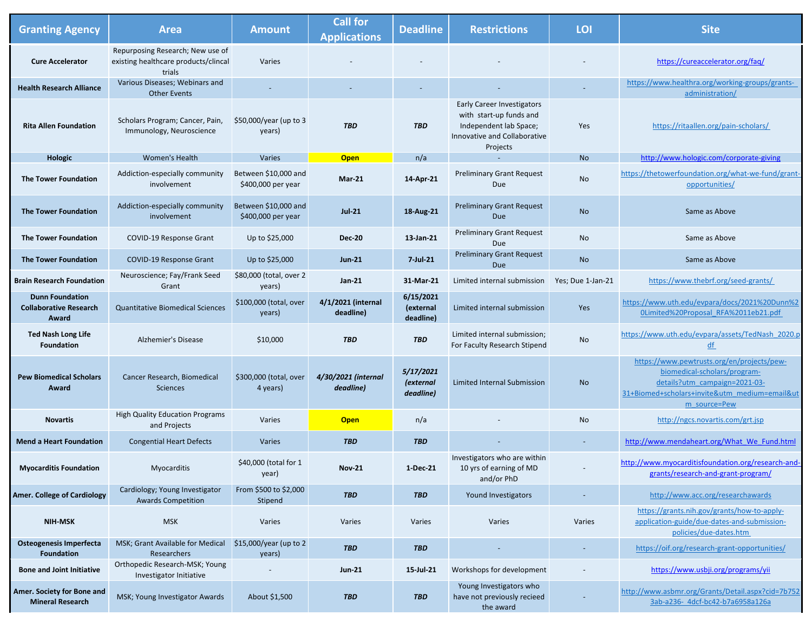| <b>Granting Agency</b>                                           | <b>Area</b>                                                                        | <b>Amount</b>                              | <b>Call for</b><br><b>Applications</b> | <b>Deadline</b>                            | <b>Restrictions</b>                                                                                                                | LOI                      | <b>Site</b>                                                                                                                                                                  |
|------------------------------------------------------------------|------------------------------------------------------------------------------------|--------------------------------------------|----------------------------------------|--------------------------------------------|------------------------------------------------------------------------------------------------------------------------------------|--------------------------|------------------------------------------------------------------------------------------------------------------------------------------------------------------------------|
| <b>Cure Accelerator</b>                                          | Repurposing Research; New use of<br>existing healthcare products/clincal<br>trials | Varies                                     |                                        |                                            |                                                                                                                                    |                          | https://cureaccelerator.org/faq/                                                                                                                                             |
| <b>Health Research Alliance</b>                                  | Various Diseases; Webinars and<br><b>Other Events</b>                              | $\overline{\phantom{a}}$                   |                                        |                                            |                                                                                                                                    | $\overline{\phantom{a}}$ | https://www.healthra.org/working-groups/grants-<br>administration/                                                                                                           |
| <b>Rita Allen Foundation</b>                                     | Scholars Program; Cancer, Pain,<br>Immunology, Neuroscience                        | \$50,000/year (up to 3<br>years)           | <b>TBD</b>                             | <b>TBD</b>                                 | <b>Early Career Investigators</b><br>with start-up funds and<br>Independent lab Space;<br>Innovative and Collaborative<br>Projects | Yes                      | https://ritaallen.org/pain-scholars/                                                                                                                                         |
| <b>Hologic</b>                                                   | <b>Women's Health</b>                                                              | Varies                                     | <b>Open</b>                            | n/a                                        |                                                                                                                                    | <b>No</b>                | http://www.hologic.com/corporate-giving                                                                                                                                      |
| <b>The Tower Foundation</b>                                      | Addiction-especially community<br>involvement                                      | Between \$10,000 and<br>\$400,000 per year | <b>Mar-21</b>                          | 14-Apr-21                                  | <b>Preliminary Grant Request</b><br><b>Due</b>                                                                                     | No                       | https://thetowerfoundation.org/what-we-fund/grant-<br>opportunities/                                                                                                         |
| <b>The Tower Foundation</b>                                      | Addiction-especially community<br>involvement                                      | Between \$10,000 and<br>\$400,000 per year | <b>Jul-21</b>                          | 18-Aug-21                                  | <b>Preliminary Grant Request</b><br>Due                                                                                            | <b>No</b>                | Same as Above                                                                                                                                                                |
| <b>The Tower Foundation</b>                                      | COVID-19 Response Grant                                                            | Up to \$25,000                             | <b>Dec-20</b>                          | 13-Jan-21                                  | <b>Preliminary Grant Request</b><br>Due                                                                                            | No                       | Same as Above                                                                                                                                                                |
| <b>The Tower Foundation</b>                                      | <b>COVID-19 Response Grant</b>                                                     | Up to \$25,000                             | <b>Jun-21</b>                          | $7$ -Jul-21                                | <b>Preliminary Grant Request</b><br>Due                                                                                            | <b>No</b>                | Same as Above                                                                                                                                                                |
| <b>Brain Research Foundation</b>                                 | Neuroscience; Fay/Frank Seed<br>Grant                                              | \$80,000 (total, over 2<br>years)          | <b>Jan-21</b>                          | 31-Mar-21                                  | Limited internal submission                                                                                                        | Yes; Due 1-Jan-21        | https://www.thebrf.org/seed-grants/                                                                                                                                          |
| <b>Dunn Foundation</b><br><b>Collaborative Research</b><br>Award | <b>Quantitative Biomedical Sciences</b>                                            | \$100,000 (total, over<br>years)           | 4/1/2021 (internal<br>deadline)        | 6/15/2021<br>(external<br>deadline)        | Limited internal submission                                                                                                        | Yes                      | https://www.uth.edu/evpara/docs/2021%20Dunn%2<br>OLimited%20Proposal RFA%2011eb21.pdf                                                                                        |
| <b>Ted Nash Long Life</b><br><b>Foundation</b>                   | <b>Alzhemier's Disease</b>                                                         | \$10,000                                   | <b>TBD</b>                             | <b>TBD</b>                                 | Limited internal submission;<br>For Faculty Research Stipend                                                                       | <b>No</b>                | https://www.uth.edu/evpara/assets/TedNash 2020.p<br>df                                                                                                                       |
| <b>Pew Biomedical Scholars</b><br>Award                          | Cancer Research, Biomedical<br><b>Sciences</b>                                     | \$300,000 (total, over<br>4 years)         | 4/30/2021 (internal<br>deadline)       | 5/17/2021<br><i>(external</i><br>deadline) | Limited Internal Submission                                                                                                        | <b>No</b>                | https://www.pewtrusts.org/en/projects/pew-<br>biomedical-scholars/program-<br>details?utm_campaign=2021-03-<br>31+Biomed+scholars+invite&utm medium=email&ut<br>m source=Pew |
| <b>Novartis</b>                                                  | <b>High Quality Education Programs</b><br>and Projects                             | Varies                                     | <b>Open</b>                            | n/a                                        |                                                                                                                                    | No                       | http://ngcs.novartis.com/grt.jsp                                                                                                                                             |
| <b>Mend a Heart Foundation</b>                                   | <b>Congential Heart Defects</b>                                                    | Varies                                     | <b>TBD</b>                             | <b>TBD</b>                                 |                                                                                                                                    | $\overline{\phantom{a}}$ | http://www.mendaheart.org/What We Fund.html                                                                                                                                  |
| <b>Myocarditis Foundation</b>                                    | Myocarditis                                                                        | \$40,000 (total for 1<br>year)             | <b>Nov-21</b>                          | 1-Dec-21                                   | Investigators who are within<br>10 yrs of earning of MD<br>and/or PhD                                                              |                          | http://www.myocarditisfoundation.org/research-and-<br>grants/research-and-grant-program/                                                                                     |
| <b>Amer. College of Cardiology</b>                               | Cardiology; Young Investigator<br><b>Awards Competition</b>                        | From \$500 to \$2,000<br>Stipend           | <b>TBD</b>                             | <b>TBD</b>                                 | Yound Investigators                                                                                                                |                          | http://www.acc.org/researchawards                                                                                                                                            |
| <b>NIH-MSK</b>                                                   | <b>MSK</b>                                                                         | Varies                                     | Varies                                 | Varies                                     | Varies                                                                                                                             | Varies                   | https://grants.nih.gov/grants/how-to-apply-<br>application-guide/due-dates-and-submission-<br>policies/due-dates.htm                                                         |
| <b>Osteogenesis Imperfecta</b><br><b>Foundation</b>              | MSK; Grant Available for Medical<br><b>Researchers</b>                             | \$15,000/year (up to 2<br>years)           | <b>TBD</b>                             | <b>TBD</b>                                 |                                                                                                                                    |                          | https://oif.org/research-grant-opportunities/                                                                                                                                |
| <b>Bone and Joint Initiative</b>                                 | Orthopedic Research-MSK; Young<br>Investigator Initiative                          | $\overline{\phantom{a}}$                   | <b>Jun-21</b>                          | 15-Jul-21                                  | Workshops for development                                                                                                          |                          | https://www.usbji.org/programs/yii                                                                                                                                           |
| Amer. Society for Bone and<br><b>Mineral Research</b>            | MSK; Young Investigator Awards                                                     | About \$1,500                              | <b>TBD</b>                             | <b>TBD</b>                                 | Young Investigators who<br>have not previously recieed<br>the award                                                                |                          | http://www.asbmr.org/Grants/Detail.aspx?cid=7b752<br>3ab-a236- 4dcf-bc42-b7a6958a126a                                                                                        |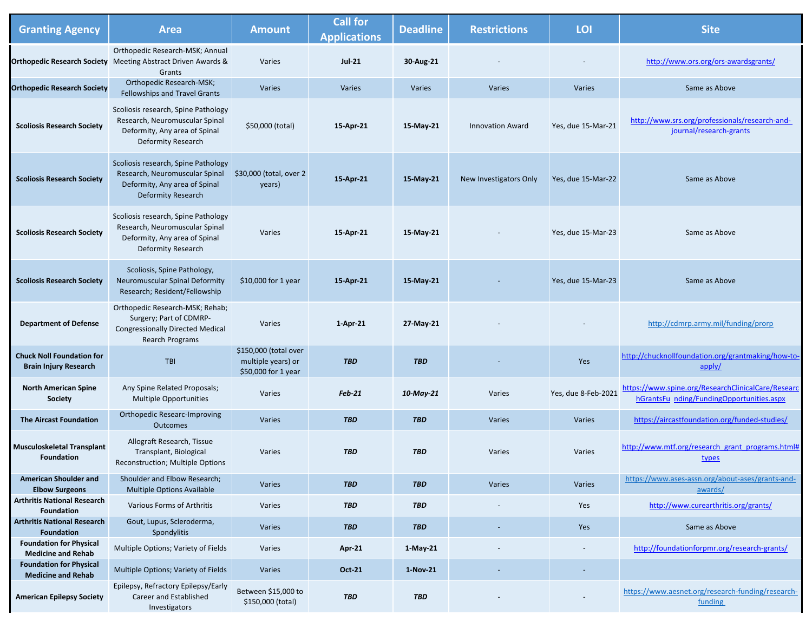| <b>Granting Agency</b>                                           | <b>Area</b>                                                                                                                         | <b>Amount</b>                                                      | <b>Call for</b><br><b>Applications</b> | <b>Deadline</b> | <b>Restrictions</b>     | LOI                 | <b>Site</b>                                                                                     |
|------------------------------------------------------------------|-------------------------------------------------------------------------------------------------------------------------------------|--------------------------------------------------------------------|----------------------------------------|-----------------|-------------------------|---------------------|-------------------------------------------------------------------------------------------------|
|                                                                  | Orthopedic Research-MSK; Annual<br><b>Orthopedic Research Society</b> Meeting Abstract Driven Awards &<br>Grants                    | Varies                                                             | <b>Jul-21</b>                          | 30-Aug-21       |                         |                     | http://www.ors.org/ors-awardsgrants/                                                            |
| <b>Orthopedic Research Society</b>                               | <b>Orthopedic Research-MSK;</b><br>Fellowships and Travel Grants                                                                    | Varies                                                             | Varies                                 | Varies          | Varies                  | Varies              | Same as Above                                                                                   |
| <b>Scoliosis Research Society</b>                                | Scoliosis research, Spine Pathology<br>Research, Neuromuscular Spinal<br>Deformity, Any area of Spinal<br><b>Deformity Research</b> | \$50,000 (total)                                                   | 15-Apr-21                              | 15-May-21       | <b>Innovation Award</b> | Yes, due 15-Mar-21  | http://www.srs.org/professionals/research-and-<br>journal/research-grants                       |
| <b>Scoliosis Research Society</b>                                | Scoliosis research, Spine Pathology<br>Research, Neuromuscular Spinal<br>Deformity, Any area of Spinal<br><b>Deformity Research</b> | \$30,000 (total, over 2<br>years)                                  | 15-Apr-21                              | 15-May-21       | New Investigators Only  | Yes, due 15-Mar-22  | Same as Above                                                                                   |
| <b>Scoliosis Research Society</b>                                | Scoliosis research, Spine Pathology<br>Research, Neuromuscular Spinal<br>Deformity, Any area of Spinal<br><b>Deformity Research</b> | Varies                                                             | 15-Apr-21                              | 15-May-21       |                         | Yes, due 15-Mar-23  | Same as Above                                                                                   |
| <b>Scoliosis Research Society</b>                                | Scoliosis, Spine Pathology,<br>Neuromuscular Spinal Deformity<br>Research; Resident/Fellowship                                      | \$10,000 for 1 year                                                | 15-Apr-21                              | 15-May-21       |                         | Yes, due 15-Mar-23  | Same as Above                                                                                   |
| <b>Department of Defense</b>                                     | Orthopedic Research-MSK; Rehab;<br>Surgery; Part of CDMRP-<br><b>Congressionally Directed Medical</b><br>Rearch Programs            | Varies                                                             | $1-Apr-21$                             | 27-May-21       |                         |                     | http://cdmrp.army.mil/funding/prorp                                                             |
| <b>Chuck Noll Foundation for</b><br><b>Brain Injury Research</b> | TBI                                                                                                                                 | \$150,000 (total over<br>multiple years) or<br>\$50,000 for 1 year | <b>TBD</b>                             | <b>TBD</b>      |                         | Yes                 | http://chucknollfoundation.org/grantmaking/how-to-<br>apply/                                    |
| <b>North American Spine</b><br><b>Society</b>                    | Any Spine Related Proposals;<br><b>Multiple Opportunities</b>                                                                       | Varies                                                             | <b>Feb-21</b>                          | 10-May-21       | Varies                  | Yes, due 8-Feb-2021 | https://www.spine.org/ResearchClinicalCare/Researc<br>hGrantsFu nding/FundingOpportunities.aspx |
| <b>The Aircast Foundation</b>                                    | <b>Orthopedic Researc-Improving</b><br>Outcomes                                                                                     | Varies                                                             | <b>TBD</b>                             | <b>TBD</b>      | Varies                  | Varies              | https://aircastfoundation.org/funded-studies/                                                   |
| <b>Musculoskeletal Transplant</b><br><b>Foundation</b>           | Allograft Research, Tissue<br>Transplant, Biological<br>Reconstruction; Multiple Options                                            | Varies                                                             | <b>TBD</b>                             | <b>TBD</b>      | Varies                  | Varies              | http://www.mtf.org/research grant programs.html#<br>types                                       |
| <b>American Shoulder and</b><br><b>Elbow Surgeons</b>            | Shoulder and Elbow Research;<br><b>Multiple Options Available</b>                                                                   | Varies                                                             | <b>TBD</b>                             | <b>TBD</b>      | Varies                  | Varies              | https://www.ases-assn.org/about-ases/grants-and-<br>awards/                                     |
| <b>Arthritis National Research</b><br><b>Foundation</b>          | Various Forms of Arthritis                                                                                                          | Varies                                                             | <b>TBD</b>                             | <b>TBD</b>      |                         | Yes                 | http://www.curearthritis.org/grants/                                                            |
| <b>Arthritis National Research</b><br><b>Foundation</b>          | Gout, Lupus, Scleroderma,<br>Spondylitis                                                                                            | Varies                                                             | <b>TBD</b>                             | <b>TBD</b>      |                         | Yes                 | Same as Above                                                                                   |
| <b>Foundation for Physical</b><br><b>Medicine and Rehab</b>      | Multiple Options; Variety of Fields                                                                                                 | Varies                                                             | Apr-21                                 | $1-May-21$      |                         |                     | http://foundationforpmr.org/research-grants/                                                    |
| <b>Foundation for Physical</b><br><b>Medicine and Rehab</b>      | Multiple Options; Variety of Fields                                                                                                 | Varies                                                             | <b>Oct-21</b>                          | 1-Nov-21        |                         |                     |                                                                                                 |
| <b>American Epilepsy Society</b>                                 | Epilepsy, Refractory Epilepsy/Early<br><b>Career and Established</b><br>Investigators                                               | Between \$15,000 to<br>\$150,000 (total)                           | <b>TBD</b>                             | <b>TBD</b>      |                         |                     | https://www.aesnet.org/research-funding/research-<br>funding                                    |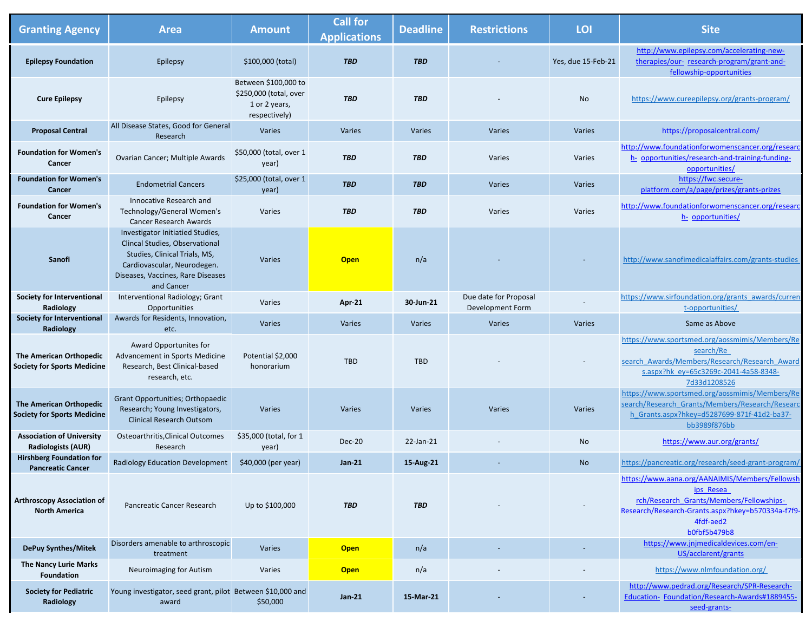| <b>Granting Agency</b>                                               | <b>Area</b>                                                                                                                                                                           | <b>Amount</b>                                                                    | <b>Call for</b><br><b>Applications</b> | <b>Deadline</b> | <b>Restrictions</b>                       | LOI                | <b>Site</b>                                                                                                                                                                               |
|----------------------------------------------------------------------|---------------------------------------------------------------------------------------------------------------------------------------------------------------------------------------|----------------------------------------------------------------------------------|----------------------------------------|-----------------|-------------------------------------------|--------------------|-------------------------------------------------------------------------------------------------------------------------------------------------------------------------------------------|
| <b>Epilepsy Foundation</b>                                           | Epilepsy                                                                                                                                                                              | \$100,000 (total)                                                                | <b>TBD</b>                             | <b>TBD</b>      |                                           | Yes, due 15-Feb-21 | http://www.epilepsy.com/accelerating-new-<br>therapies/our- research-program/grant-and-<br>fellowship-opportunities                                                                       |
| <b>Cure Epilepsy</b>                                                 | Epilepsy                                                                                                                                                                              | Between \$100,000 to<br>\$250,000 (total, over<br>1 or 2 years,<br>respectively) | <b>TBD</b>                             | <b>TBD</b>      |                                           | No                 | https://www.cureepilepsy.org/grants-program/                                                                                                                                              |
| <b>Proposal Central</b>                                              | All Disease States, Good for General<br>Research                                                                                                                                      | Varies                                                                           | Varies                                 | Varies          | Varies                                    | Varies             | https://proposalcentral.com/                                                                                                                                                              |
| <b>Foundation for Women's</b><br><b>Cancer</b>                       | Ovarian Cancer; Multiple Awards                                                                                                                                                       | \$50,000 (total, over 1<br>year)                                                 | <b>TBD</b>                             | <b>TBD</b>      | Varies                                    | Varies             | http://www.foundationforwomenscancer.org/researc<br>h- opportunities/research-and-training-funding-<br>opportunities/                                                                     |
| <b>Foundation for Women's</b><br>Cancer                              | <b>Endometrial Cancers</b>                                                                                                                                                            | \$25,000 (total, over 1<br>year)                                                 | <b>TBD</b>                             | <b>TBD</b>      | Varies                                    | Varies             | https://fwc.secure-<br>platform.com/a/page/prizes/grants-prizes                                                                                                                           |
| <b>Foundation for Women's</b><br><b>Cancer</b>                       | Innocative Research and<br>Technology/General Women's<br><b>Cancer Research Awards</b>                                                                                                | Varies                                                                           | <b>TBD</b>                             | <b>TBD</b>      | Varies                                    | Varies             | http://www.foundationforwomenscancer.org/researc<br>h- opportunities/                                                                                                                     |
| <b>Sanofi</b>                                                        | Investigator Initiatied Studies,<br>Clincal Studies, Observational<br>Studies, Clinical Trials, MS,<br>Cardiovascular, Neurodegen.<br>Diseases, Vaccines, Rare Diseases<br>and Cancer | Varies                                                                           | <b>Open</b>                            | n/a             |                                           |                    | http://www.sanofimedicalaffairs.com/grants-studies                                                                                                                                        |
| <b>Society for Interventional</b><br>Radiology                       | Interventional Radiology; Grant<br>Opportunities                                                                                                                                      | Varies                                                                           | <b>Apr-21</b>                          | 30-Jun-21       | Due date for Proposal<br>Development Form |                    | https://www.sirfoundation.org/grants awards/curren<br>t-opportunities/                                                                                                                    |
| <b>Society for Interventional</b><br><b>Radiology</b>                | Awards for Residents, Innovation,<br>etc.                                                                                                                                             | Varies                                                                           | Varies                                 | Varies          | Varies                                    | Varies             | Same as Above                                                                                                                                                                             |
| <b>The American Orthopedic</b><br><b>Society for Sports Medicine</b> | Award Opportunites for<br>Advancement in Sports Medicine<br>Research, Best Clinical-based<br>research, etc.                                                                           | Potential \$2,000<br>honorarium                                                  | <b>TBD</b>                             | <b>TBD</b>      |                                           |                    | https://www.sportsmed.org/aossmimis/Members/Re<br>search/Re<br>search Awards/Members/Research/Research Award<br>s.aspx?hk ey=65c3269c-2041-4a58-8348-<br>7d33d1208526                     |
| <b>The American Orthopedic</b><br><b>Society for Sports Medicine</b> | Grant Opportunities; Orthopaedic<br>Research; Young Investigators,<br><b>Clinical Research Outsom</b>                                                                                 | Varies                                                                           | Varies                                 | Varies          | Varies                                    | Varies             | https://www.sportsmed.org/aossmimis/Members/Re<br>search/Research Grants/Members/Research/Researc<br>h Grants.aspx?hkey=d5287699-871f-41d2-ba37-<br>bb3989f876bb                          |
| <b>Association of University</b><br><b>Radiologists (AUR)</b>        | <b>Osteoarthritis, Clinical Outcomes</b><br>Research                                                                                                                                  | \$35,000 (total, for 1<br>year)                                                  | <b>Dec-20</b>                          | 22-Jan-21       |                                           | No                 | https://www.aur.org/grants/                                                                                                                                                               |
| <b>Hirshberg Foundation for</b><br><b>Pancreatic Cancer</b>          | <b>Radiology Education Development</b>                                                                                                                                                | \$40,000 (per year)                                                              | <b>Jan-21</b>                          | 15-Aug-21       |                                           | <b>No</b>          | https://pancreatic.org/research/seed-grant-program/                                                                                                                                       |
| <b>Arthroscopy Association of</b><br><b>North America</b>            | Pancreatic Cancer Research                                                                                                                                                            | Up to \$100,000                                                                  | <b>TBD</b>                             | <b>TBD</b>      |                                           |                    | https://www.aana.org/AANAIMIS/Members/Fellowsh<br>ips Resea<br>rch/Research Grants/Members/Fellowships-<br>Research/Research-Grants.aspx?hkey=b570334a-f7f9-<br>4fdf-aed2<br>b0fbf5b479b8 |
| <b>DePuy Synthes/Mitek</b>                                           | Disorders amenable to arthroscopic<br>treatment                                                                                                                                       | Varies                                                                           | <b>Open</b>                            | n/a             |                                           |                    | https://www.jnjmedicaldevices.com/en-<br>US/acclarent/grants                                                                                                                              |
| <b>The Nancy Lurie Marks</b><br>Foundation                           | Neuroimaging for Autism                                                                                                                                                               | Varies                                                                           | <b>Open</b>                            | n/a             |                                           |                    | https://www.nlmfoundation.org/                                                                                                                                                            |
| <b>Society for Pediatric</b><br>Radiology                            | Young investigator, seed grant, pilot Between \$10,000 and<br>award                                                                                                                   | \$50,000                                                                         | <b>Jan-21</b>                          | 15-Mar-21       |                                           |                    | http://www.pedrad.org/Research/SPR-Research-<br>Education-Foundation/Research-Awards#1889455-<br>seed-grants-                                                                             |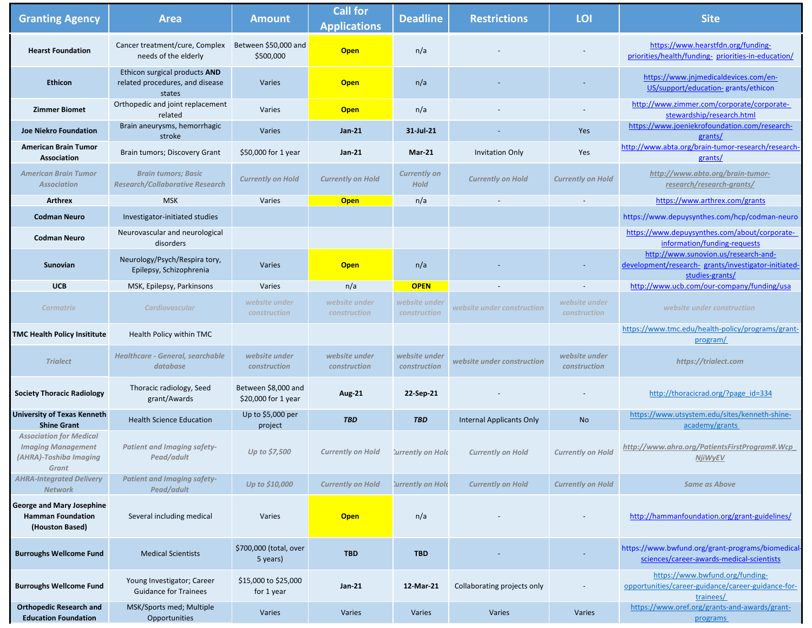| <b>Granting Agency</b>                                                                         | <b>Area</b>                                                                | <b>Amount</b>                              | <b>Call for</b><br><b>Applications</b> | <b>Deadline</b>                    | <b>Restrictions</b>             | LOI                                  | <b>Site</b>                                                                                                     |
|------------------------------------------------------------------------------------------------|----------------------------------------------------------------------------|--------------------------------------------|----------------------------------------|------------------------------------|---------------------------------|--------------------------------------|-----------------------------------------------------------------------------------------------------------------|
| <b>Hearst Foundation</b>                                                                       | Cancer treatment/cure, Complex<br>needs of the elderly                     | Between \$50,000 and<br>\$500,000          | <b>Open</b>                            | n/a                                |                                 |                                      | https://www.hearstfdn.org/funding-<br>priorities/health/funding- priorities-in-education/                       |
| <b>Ethicon</b>                                                                                 | Ethicon surgical products AND<br>related procedures, and disease<br>states | Varies                                     | <b>Open</b>                            | n/a                                |                                 |                                      | https://www.jnjmedicaldevices.com/en-<br>US/support/education-grants/ethicon                                    |
| <b>Zimmer Biomet</b>                                                                           | Orthopedic and joint replacement<br>related                                | Varies                                     | <b>Open</b>                            | n/a                                |                                 |                                      | http://www.zimmer.com/corporate/corporate-<br>stewardship/research.html                                         |
| <b>Joe Niekro Foundation</b>                                                                   | Brain aneurysms, hemorrhagic<br>stroke                                     | Varies                                     | <b>Jan-21</b>                          | 31-Jul-21                          |                                 | Yes                                  | https://www.joeniekrofoundation.com/research-<br>grants/                                                        |
| <b>American Brain Tumor</b><br>Association                                                     | Brain tumors; Discovery Grant                                              | \$50,000 for 1 year                        | <b>Jan-21</b>                          | <b>Mar-21</b>                      | <b>Invitation Only</b>          | Yes                                  | http://www.abta.org/brain-tumor-research/research-<br>grants/                                                   |
| <b>American Brain Tumor</b><br><b>Association</b>                                              | <b>Brain tumors; Basic</b><br><b>Research/Collaborative Research</b>       | <b>Currently on Hold</b>                   | <b>Currently on Hold</b>               | <b>Currently on</b><br><b>Hold</b> | <b>Currently on Hold</b>        | <b>Currently on Hold</b>             | http://www.abta.org/brain-tumor-<br>research/research-grants/                                                   |
| <b>Arthrex</b>                                                                                 | <b>MSK</b>                                                                 | Varies                                     | <b>Open</b>                            | n/a                                |                                 |                                      | https://www.arthrex.com/grants                                                                                  |
| <b>Codman Neuro</b>                                                                            | Investigator-initiated studies                                             |                                            |                                        |                                    |                                 |                                      | https://www.depuysynthes.com/hcp/codman-neuro                                                                   |
| <b>Codman Neuro</b>                                                                            | Neurovascular and neurological<br>disorders                                |                                            |                                        |                                    |                                 |                                      | https://www.depuysynthes.com/about/corporate-<br>information/funding-requests                                   |
| <b>Sunovian</b>                                                                                | Neurology/Psych/Respira tory,<br>Epilepsy, Schizophrenia                   | Varies                                     | <b>Open</b>                            | n/a                                |                                 |                                      | http://www.sunovion.us/research-and-<br>development/research- grants/investigator-initiated-<br>studies-grants/ |
| <b>UCB</b>                                                                                     | MSK, Epilepsy, Parkinsons                                                  | Varies                                     | n/a                                    | <b>OPEN</b>                        |                                 | $\overline{\phantom{a}}$             | http://www.ucb.com/our-company/funding/usa                                                                      |
| <b>Cormatrix</b>                                                                               | <b>Cardiovascular</b>                                                      | website under<br>construction              | website under<br>construction          | website under<br>construction      | website under construction      | website under<br><b>construction</b> | website under construction                                                                                      |
| <b>TMC Health Policy Insititute</b>                                                            | Health Policy within TMC                                                   |                                            |                                        |                                    |                                 |                                      | https://www.tmc.edu/health-policy/programs/grant-<br>program/                                                   |
| <b>Trialect</b>                                                                                | <b>Healthcare - General, searchable</b><br>database                        | website under<br>construction              | website under<br>construction          | website under<br>construction      | website under construction      | website under<br>construction        | https://trialect.com                                                                                            |
| <b>Society Thoracic Radiology</b>                                                              | Thoracic radiology, Seed<br>grant/Awards                                   | Between \$8,000 and<br>\$20,000 for 1 year | <b>Aug-21</b>                          | 22-Sep-21                          |                                 |                                      | http://thoracicrad.org/?page id=334                                                                             |
| <b>University of Texas Kenneth</b><br><b>Shine Grant</b>                                       | <b>Health Science Education</b>                                            | Up to \$5,000 per<br>project               | <b>TBD</b>                             | <b>TBD</b>                         | <b>Internal Applicants Only</b> | <b>No</b>                            | https://www.utsystem.edu/sites/kenneth-shine-<br>academy/grants                                                 |
| <b>Association for Medical</b><br><b>Imaging Management</b><br>(AHRA)-Toshiba Imaging<br>Grant | <b>Patient and Imaging safety-</b><br>Pead/adult                           | Up to \$7,500                              | <b>Currently on Hold</b>               | Currently on Hold                  | <b>Currently on Hold</b>        | <b>Currently on Hold</b>             | http://www.ahra.org/PatientsFirstProgram#.Wcp<br><b>NjiWyEV</b>                                                 |
| <b>AHRA-Integrated Delivery</b><br><b>Network</b>                                              | <b>Patient and Imaging safety-</b><br>Pead/adult                           | Up to \$10,000                             | <b>Currently on Hold</b>               | Currently on Hold                  | <b>Currently on Hold</b>        | <b>Currently on Hold</b>             | <b>Same as Above</b>                                                                                            |
| <b>George and Mary Josephine</b><br><b>Hamman Foundation</b><br>(Houston Based)                | Several including medical                                                  | Varies                                     | <b>Open</b>                            | n/a                                |                                 |                                      | http://hammanfoundation.org/grant-guidelines/                                                                   |
| <b>Burroughs Wellcome Fund</b>                                                                 | <b>Medical Scientists</b>                                                  | \$700,000 (total, over<br>5 years)         | <b>TBD</b>                             | <b>TBD</b>                         |                                 |                                      | https://www.bwfund.org/grant-programs/biomedical-<br>sciences/career-awards-medical-scientists                  |
| <b>Burroughs Wellcome Fund</b>                                                                 | Young Investigator; Career<br><b>Guidance for Trainees</b>                 | \$15,000 to \$25,000<br>for 1 year         | <b>Jan-21</b>                          | 12-Mar-21                          | Collaborating projects only     |                                      | https://www.bwfund.org/funding-<br>opportunities/career-guidance/career-guidance-for-<br>trainees/              |
| <b>Orthopedic Research and</b><br><b>Education Foundation</b>                                  | MSK/Sports med; Multiple<br>Opportunities                                  | Varies                                     | Varies                                 | Varies                             | Varies                          | Varies                               | https://www.oref.org/grants-and-awards/grant-<br>programs                                                       |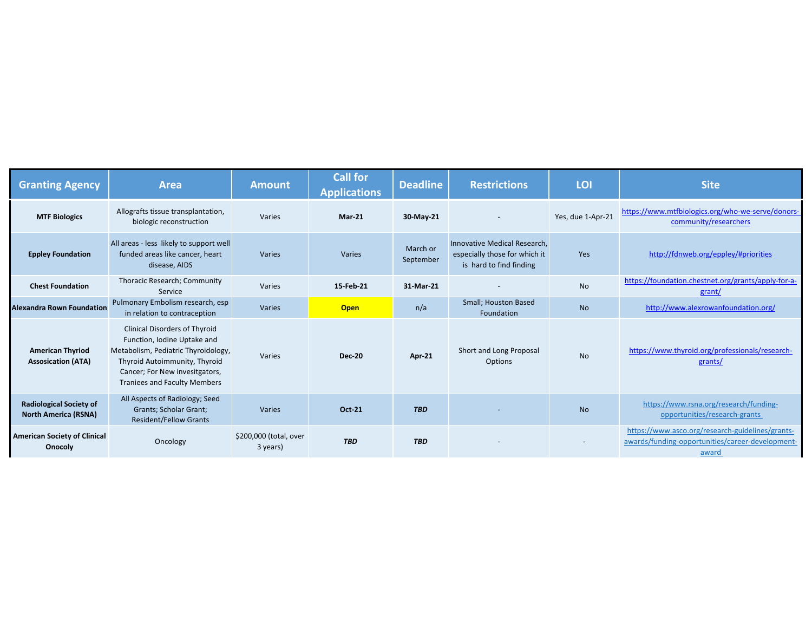| <b>Granting Agency</b>                                        | <b>Area</b>                                                                                                                                                                                                          | <b>Amount</b>                      | <b>Call for</b><br><b>Applications</b> | <b>Deadline</b>       | <b>Restrictions</b>                                                                      | LOI               | <b>Site</b>                                                                                                   |
|---------------------------------------------------------------|----------------------------------------------------------------------------------------------------------------------------------------------------------------------------------------------------------------------|------------------------------------|----------------------------------------|-----------------------|------------------------------------------------------------------------------------------|-------------------|---------------------------------------------------------------------------------------------------------------|
| <b>MTF Biologics</b>                                          | Allografts tissue transplantation,<br>biologic reconstruction                                                                                                                                                        | Varies                             | $Mar-21$                               | 30-May-21             |                                                                                          | Yes, due 1-Apr-21 | https://www.mtfbiologics.org/who-we-serve/donors-<br>community/researchers                                    |
| <b>Eppley Foundation</b>                                      | All areas - less likely to support well<br>funded areas like cancer, heart<br>disease, AIDS                                                                                                                          | Varies                             | Varies                                 | March or<br>September | Innovative Medical Research,<br>especially those for which it<br>is hard to find finding | Yes               | http://fdnweb.org/eppley/#priorities                                                                          |
| <b>Chest Foundation</b>                                       | Thoracic Research; Community<br>Service                                                                                                                                                                              | Varies                             | 15-Feb-21                              | 31-Mar-21             |                                                                                          | <b>No</b>         | https://foundation.chestnet.org/grants/apply-for-a-<br>grant/                                                 |
| <b>Alexandra Rown Foundation</b>                              | Pulmonary Embolism research, esp<br>in relation to contraception                                                                                                                                                     | Varies                             | <b>Open</b>                            | n/a                   | <b>Small; Houston Based</b><br>Foundation                                                | <b>No</b>         | http://www.alexrowanfoundation.org/                                                                           |
| <b>American Thyriod</b><br><b>Assosication (ATA)</b>          | <b>Clinical Disorders of Thyroid</b><br>Function, Iodine Uptake and<br>Metabolism, Pediatric Thyroidology,<br>Thyroid Autoimmunity, Thyroid<br>Cancer; For New invesitgators,<br><b>Traniees and Faculty Members</b> | Varies                             | <b>Dec-20</b>                          | Apr-21                | Short and Long Proposal<br><b>Options</b>                                                | <b>No</b>         | https://www.thyroid.org/professionals/research-<br>grants/                                                    |
| <b>Radiological Society of</b><br><b>North America (RSNA)</b> | All Aspects of Radiology; Seed<br>Grants; Scholar Grant;<br><b>Resident/Fellow Grants</b>                                                                                                                            | Varies                             | <b>Oct-21</b>                          | <b>TBD</b>            |                                                                                          | <b>No</b>         | https://www.rsna.org/research/funding-<br>opportunities/research-grants                                       |
| <b>American Society of Clinical</b><br><b>Onocoly</b>         | Oncology                                                                                                                                                                                                             | \$200,000 (total, over<br>3 years) | <b>TBD</b>                             | <b>TBD</b>            |                                                                                          |                   | https://www.asco.org/research-guidelines/grants-<br>awards/funding-opportunities/career-development-<br>award |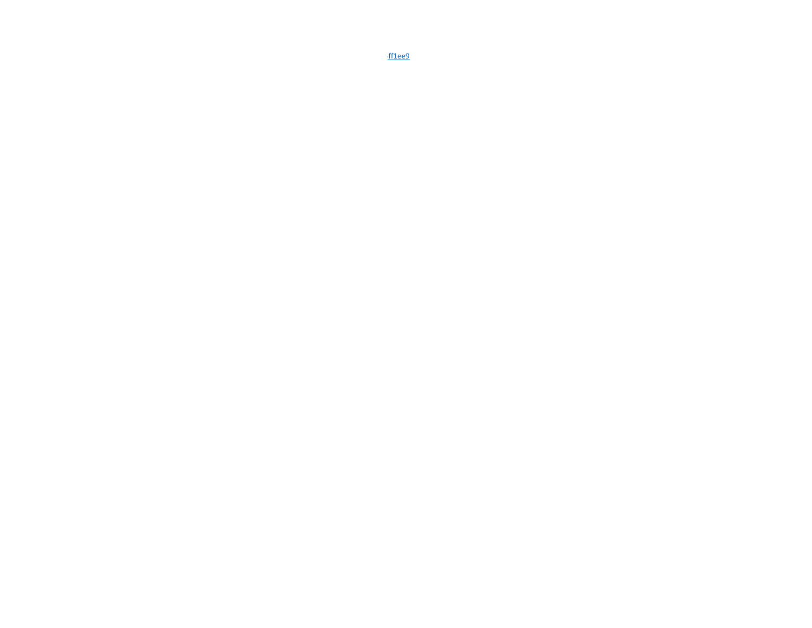ff1ee9